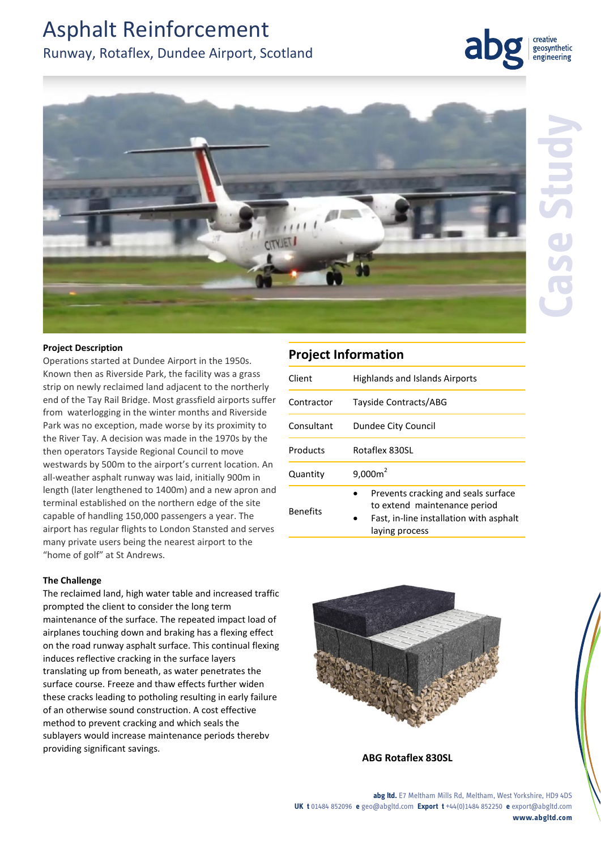# Asphalt Reinforcement

## Runway, Rotaflex, Dundee Airport, Scotland



## **Project Description**

Operations started at Dundee Airport in the 1950s. Known then as Riverside Park, the facility was a grass strip on newly reclaimed land adjacent to the northerly end of the Tay Rail Bridge. Most grassfield airports suffer from waterlogging in the winter months and Riverside Park was no exception, made worse by its proximity to the River Tay. A decision was made in the 1970s by the then operators Tayside Regional Council to move westwards by 500m to the airport's current location. An all-weather asphalt runway was laid, initially 900m in length (later lengthened to 1400m) and a new apron and terminal established on the northern edge of the site capable of handling 150,000 passengers a year. The airport has regular flights to London Stansted and serves many private users being the nearest airport to the "home of golf" at St Andrews.

## **The Challenge**

The reclaimed land, high water table and increased traffic prompted the client to consider the long term maintenance of the surface. The repeated impact load of airplanes touching down and braking has a flexing effect on the road runway asphalt surface. This continual flexing induces reflective cracking in the surface layers translating up from beneath, as water penetrates the surface course. Freeze and thaw effects further widen these cracks leading to potholing resulting in early failure of an otherwise sound construction. A cost effective method to prevent cracking and which seals the sublayers would increase maintenance periods therebv providing significant savings.

## **Project Information**

| Client          | <b>Highlands and Islands Airports</b>                                                                                            |
|-----------------|----------------------------------------------------------------------------------------------------------------------------------|
| Contractor      | Tayside Contracts/ABG                                                                                                            |
| Consultant      | Dundee City Council                                                                                                              |
| Products        | Rotaflex 830SL                                                                                                                   |
| Quantity        | $9,000m^2$                                                                                                                       |
| <b>Benefits</b> | Prevents cracking and seals surface<br>to extend maintenance period<br>Fast, in-line installation with asphalt<br>laying process |



**ABG Rotaflex 830SL**

creative geosynthetic engineering